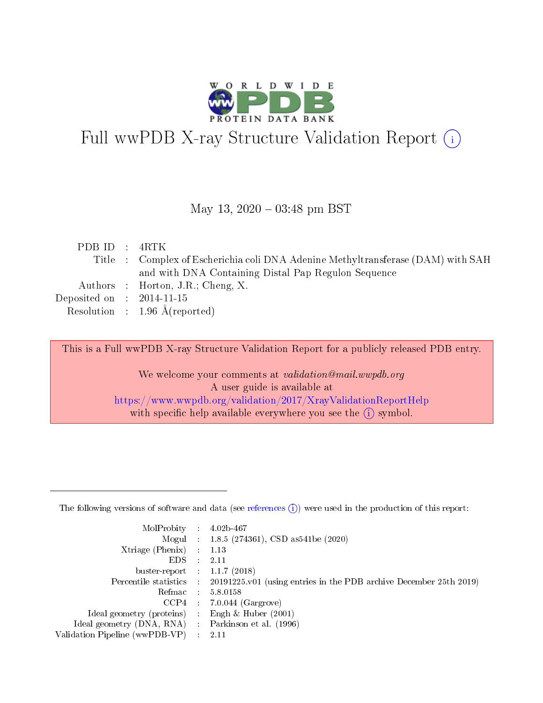

# Full wwPDB X-ray Structure Validation Report (i)

#### May 13,  $2020 - 03:48$  pm BST

| PDBID : 4RTK                |                                                                                  |
|-----------------------------|----------------------------------------------------------------------------------|
|                             | Title : Complex of Escherichia coli DNA Adenine Methyltransferase (DAM) with SAH |
|                             | and with DNA Containing Distal Pap Regulon Sequence                              |
|                             | Authors : Horton, J.R.; Cheng, X.                                                |
| Deposited on : $2014-11-15$ |                                                                                  |
|                             | Resolution : $1.96 \text{ Å}$ (reported)                                         |

This is a Full wwPDB X-ray Structure Validation Report for a publicly released PDB entry.

We welcome your comments at validation@mail.wwpdb.org A user guide is available at <https://www.wwpdb.org/validation/2017/XrayValidationReportHelp> with specific help available everywhere you see the  $(i)$  symbol.

The following versions of software and data (see [references](https://www.wwpdb.org/validation/2017/XrayValidationReportHelp#references)  $(1)$ ) were used in the production of this report:

| MolProbity :                   |               | $4.02b - 467$                                                                |
|--------------------------------|---------------|------------------------------------------------------------------------------|
|                                |               | Mogul : $1.8.5$ (274361), CSD as 541be (2020)                                |
| Xtriage (Phenix)               | $\mathcal{L}$ | 1.13                                                                         |
| EDS.                           |               | 2.11                                                                         |
| buster-report : $1.1.7$ (2018) |               |                                                                              |
| Percentile statistics :        |               | $20191225 \text{ v}01$ (using entries in the PDB archive December 25th 2019) |
| Refmac :                       |               | 5.8.0158                                                                     |
| CCP4                           |               | $7.0.044$ (Gargrove)                                                         |
| Ideal geometry (proteins) :    |               | Engh $\&$ Huber (2001)                                                       |
| Ideal geometry (DNA, RNA) :    |               | Parkinson et al. (1996)                                                      |
| Validation Pipeline (wwPDB-VP) | $\mathcal{L}$ | 2.11                                                                         |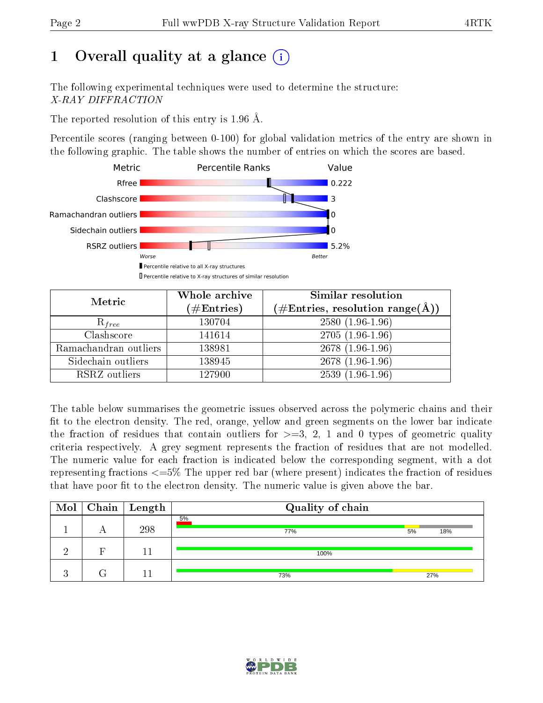# 1 [O](https://www.wwpdb.org/validation/2017/XrayValidationReportHelp#overall_quality)verall quality at a glance  $(i)$

The following experimental techniques were used to determine the structure: X-RAY DIFFRACTION

The reported resolution of this entry is 1.96 Å.

Percentile scores (ranging between 0-100) for global validation metrics of the entry are shown in the following graphic. The table shows the number of entries on which the scores are based.



| Metric                | Whole archive<br>$(\#\mathrm{Entries})$ | Similar resolution<br>$(\#\text{Entries}, \text{resolution range}(\textup{\AA}))$ |
|-----------------------|-----------------------------------------|-----------------------------------------------------------------------------------|
| $R_{free}$            | 130704                                  | $2580(1.96-1.96)$                                                                 |
| Clashscore            | 141614                                  | $2705(1.96-1.96)$                                                                 |
| Ramachandran outliers | 138981                                  | $2678(1.96-1.96)$                                                                 |
| Sidechain outliers    | 138945                                  | $2678(1.96-1.96)$                                                                 |
| RSRZ outliers         | 127900                                  | $2539(1.96-1.96)$                                                                 |

The table below summarises the geometric issues observed across the polymeric chains and their fit to the electron density. The red, orange, yellow and green segments on the lower bar indicate the fraction of residues that contain outliers for  $>=3, 2, 1$  and 0 types of geometric quality criteria respectively. A grey segment represents the fraction of residues that are not modelled. The numeric value for each fraction is indicated below the corresponding segment, with a dot representing fractions  $\epsilon=5\%$  The upper red bar (where present) indicates the fraction of residues that have poor fit to the electron density. The numeric value is given above the bar.

|  | $\boxed{\text{Mol}}$ Chain   Length | Quality of chain |           |
|--|-------------------------------------|------------------|-----------|
|  | 298                                 | 5%<br>77%        | 5%<br>18% |
|  |                                     | 100%             |           |
|  |                                     | 73%              | 27%       |

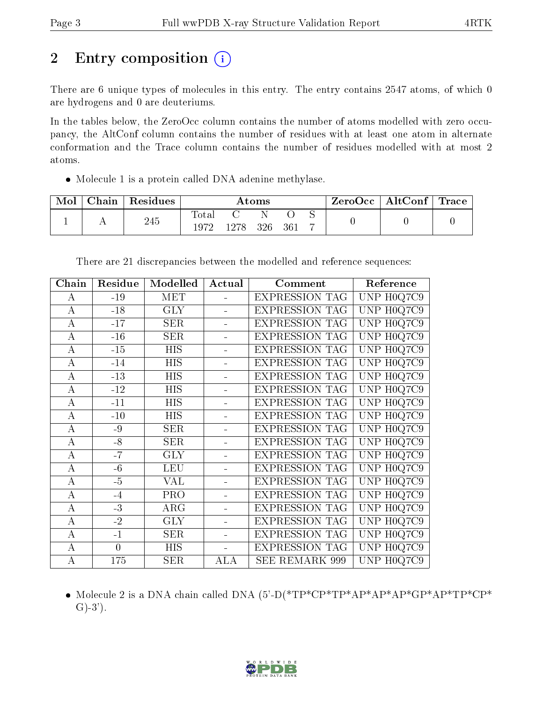# 2 Entry composition (i)

There are 6 unique types of molecules in this entry. The entry contains 2547 atoms, of which 0 are hydrogens and 0 are deuteriums.

In the tables below, the ZeroOcc column contains the number of atoms modelled with zero occupancy, the AltConf column contains the number of residues with at least one atom in alternate conformation and the Trace column contains the number of residues modelled with at most 2 atoms.

Molecule 1 is a protein called DNA adenine methylase.

| Mol | ${\rm Chain}$ | Residues |                      |      | Atoms |     |                | ⊢ZeroOcc∣ | $\vert$ AltConf $\vert$ | Trace |
|-----|---------------|----------|----------------------|------|-------|-----|----------------|-----------|-------------------------|-------|
|     |               | 245      | <b>Total</b><br>1972 | 1278 | 326   | 361 | $\overline{ }$ |           |                         |       |

| Chain            | Residue        | Modelled   | Actual | Comment               | Reference                      |
|------------------|----------------|------------|--------|-----------------------|--------------------------------|
| A                | $-19$          | <b>MET</b> |        | <b>EXPRESSION TAG</b> | UNP H0Q7C9                     |
| А                | $-18$          | <b>GLY</b> |        | <b>EXPRESSION TAG</b> | UNP H0Q7C9                     |
| $\bf{A}$         | $-17$          | <b>SER</b> |        | <b>EXPRESSION TAG</b> | UNP H0Q7C9                     |
| $\bf{A}$         | $-16$          | <b>SER</b> |        | <b>EXPRESSION TAG</b> | UNP H0Q7C9                     |
| A                | $-15$          | <b>HIS</b> |        | <b>EXPRESSION TAG</b> | $\overline{\text{UNP H}}0Q7C9$ |
| $\bf{A}$         | $-14$          | <b>HIS</b> |        | <b>EXPRESSION TAG</b> | UNP H0Q7C9                     |
| A                | $-13$          | <b>HIS</b> |        | <b>EXPRESSION TAG</b> | UNP H0Q7C9                     |
| A                | $-12$          | <b>HIS</b> |        | <b>EXPRESSION TAG</b> | UNP H0Q7C9                     |
| $\boldsymbol{A}$ | $-11$          | <b>HIS</b> |        | <b>EXPRESSION TAG</b> | UNP H0Q7C9                     |
| $\bf{A}$         | $-10$          | <b>HIS</b> |        | <b>EXPRESSION TAG</b> | UNP H0Q7C9                     |
| $\bf{A}$         | $-9$           | <b>SER</b> |        | <b>EXPRESSION TAG</b> | UNP H0Q7C9                     |
| A                | $-8$           | <b>SER</b> |        | <b>EXPRESSION TAG</b> | UNP H0Q7C9                     |
| $\bf{A}$         | $-7$           | <b>GLY</b> |        | <b>EXPRESSION TAG</b> | UNP H0Q7C9                     |
| $\bf{A}$         | $-6$           | <b>LEU</b> |        | <b>EXPRESSION TAG</b> | UNP H0Q7C9                     |
| A                | $-5$           | VAL        |        | <b>EXPRESSION TAG</b> | $\overline{\text{UNP}}$ H0Q7C9 |
| $\overline{A}$   | $-4$           | PRO        |        | <b>EXPRESSION TAG</b> | UNP H0Q7C9                     |
| $\bf{A}$         | $-3$           | ARG        |        | <b>EXPRESSION TAG</b> | UNP H0Q7C9                     |
| A                | $-2$           | <b>GLY</b> |        | <b>EXPRESSION TAG</b> | UNP H0Q7C9                     |
| А                | $-1$           | <b>SER</b> |        | <b>EXPRESSION TAG</b> | UNP H0Q7C9                     |
| $\bf{A}$         | $\overline{0}$ | <b>HIS</b> |        | <b>EXPRESSION TAG</b> | UNP H0Q7C9                     |
| $\bf{A}$         | 175            | <b>SER</b> | ALA    | SEE REMARK 999        | UNP H0Q7C9                     |

There are 21 discrepancies between the modelled and reference sequences:

 Molecule 2 is a DNA chain called DNA (5'-D(\*TP\*CP\*TP\*AP\*AP\*AP\*GP\*AP\*TP\*CP\*  $G$ –3').

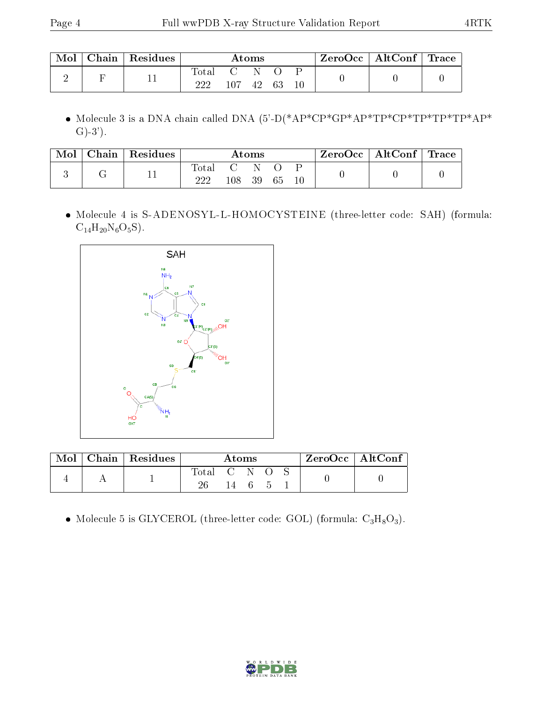| Mol | $\mid$ Chain $\mid$ Residues |       |                    | Atoms |      | $\mid$ ZeroOcc $\mid$ AltConf $\mid$ Trace |  |
|-----|------------------------------|-------|--------------------|-------|------|--------------------------------------------|--|
|     |                              | Total | $\sim$ $C$<br>107. | -42   | - 63 |                                            |  |

 $\bullet$  Molecule 3 is a DNA chain called DNA (5'-D(\*AP\*CP\*GP\*AP\*TP\*CP\*TP\*TP\*AP\*  $G(-3)$ .

| Mol | $\Box$ Chain $\Box$ | $\perp$ Residues |              |     | Atoms    |    |  | $\text{ZeroOcc} \mid \text{AltConf} \mid \text{Trace}$ |  |
|-----|---------------------|------------------|--------------|-----|----------|----|--|--------------------------------------------------------|--|
|     |                     | ┸┸               | Total<br>222 | 108 | 'N<br>39 | 65 |  |                                                        |  |

 Molecule 4 is S-ADENOSYL-L-HOMOCYSTEINE (three-letter code: SAH) (formula:  $C_{14}H_{20}N_6O_5S$ ).



| Mol | $\sqrt{\mathbf{Chain}}$ Residues <sup>1</sup> | Atoms       |       |  |  | $ZeroOcc \mid AltConf \mid$ |  |  |
|-----|-----------------------------------------------|-------------|-------|--|--|-----------------------------|--|--|
|     |                                               | Total<br>26 | - C N |  |  |                             |  |  |

• Molecule 5 is GLYCEROL (three-letter code: GOL) (formula:  $C_3H_8O_3$ ).

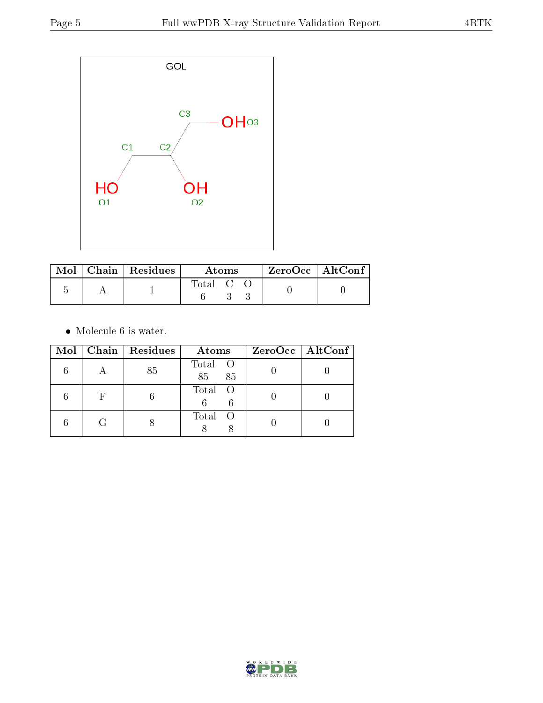

|  | $\text{Mol}$   Chain   Residues | Atoms   |  |  | $ZeroOcc \mid AltConf$ |  |
|--|---------------------------------|---------|--|--|------------------------|--|
|  |                                 | Total C |  |  |                        |  |

 $\bullet\,$  Molecule 6 is water.

|  | Mol   Chain   Residues | Atoms               | $ZeroOcc \   \ AltConf \  $ |
|--|------------------------|---------------------|-----------------------------|
|  | 85                     | Total O<br>85<br>85 |                             |
|  |                        | Total O             |                             |
|  |                        | Total<br>- 0        |                             |

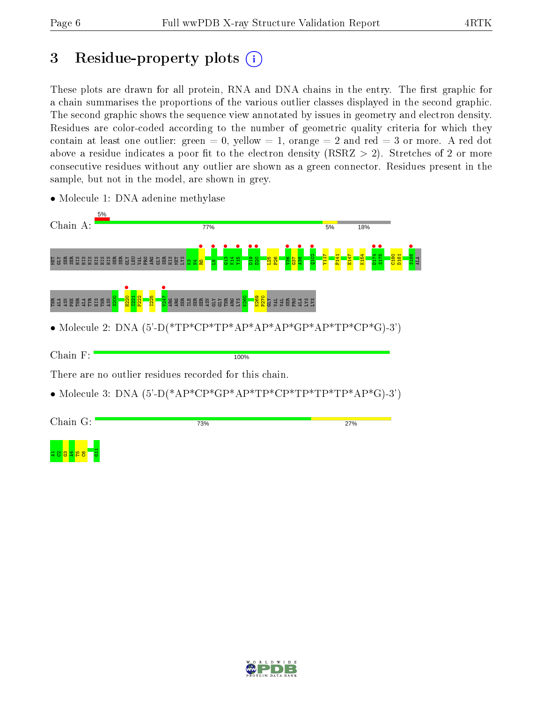## 3 Residue-property plots  $(i)$

These plots are drawn for all protein, RNA and DNA chains in the entry. The first graphic for a chain summarises the proportions of the various outlier classes displayed in the second graphic. The second graphic shows the sequence view annotated by issues in geometry and electron density. Residues are color-coded according to the number of geometric quality criteria for which they contain at least one outlier: green  $= 0$ , yellow  $= 1$ , orange  $= 2$  and red  $= 3$  or more. A red dot above a residue indicates a poor fit to the electron density (RSRZ  $> 2$ ). Stretches of 2 or more consecutive residues without any outlier are shown as a green connector. Residues present in the sample, but not in the model, are shown in grey.



• Molecule 1: DNA adenine methylase

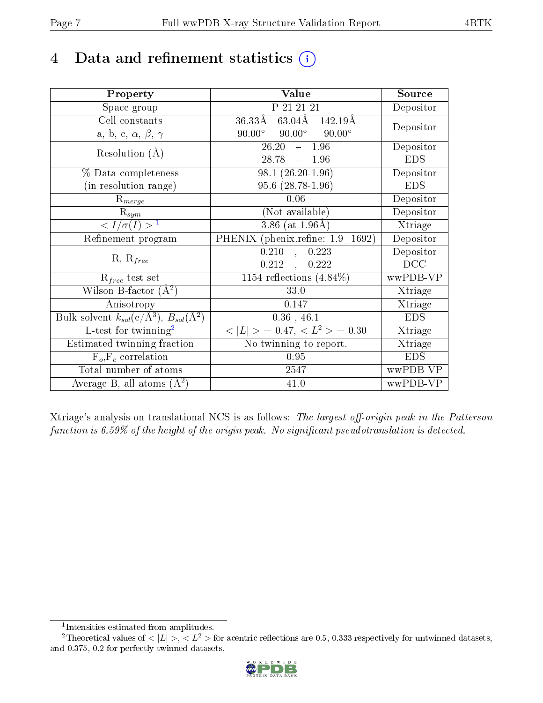## 4 Data and refinement statistics  $(i)$

| Property                                                             | Value                                           | Source     |
|----------------------------------------------------------------------|-------------------------------------------------|------------|
| Space group                                                          | P 21 21 21                                      | Depositor  |
| Cell constants                                                       | $63.04\text{\AA}$<br>36.33Å<br>142.19Å          |            |
| a, b, c, $\alpha$ , $\beta$ , $\gamma$                               | $90.00^\circ$<br>$90.00^\circ$<br>$90.00^\circ$ | Depositor  |
| Resolution $(A)$                                                     | 26.20<br>$-1.96$                                | Depositor  |
|                                                                      | $28.78 = 1.96$                                  | <b>EDS</b> |
| % Data completeness                                                  | $98.1 (26.20 - 1.96)$                           | Depositor  |
| (in resolution range)                                                | $95.6(28.78-1.96)$                              | <b>EDS</b> |
| $R_{merge}$                                                          | 0.06                                            | Depositor  |
| $\mathrm{R}_{sym}$                                                   | (Not available)                                 | Depositor  |
| $\langle I/\sigma(I) \rangle^{-1}$                                   | $3.86$ (at $1.96$ Å)                            | Xtriage    |
| Refinement program                                                   | PHENIX (phenix.refine: 1.9 1692)                | Depositor  |
|                                                                      | 0.210<br>0.223<br>$\mathbb{R}^2$                | Depositor  |
| $R, R_{free}$                                                        | $0.212$ ,<br>0.222                              | DCC        |
| $R_{free}$ test set                                                  | 1154 reflections $(4.84\%)$                     | wwPDB-VP   |
| Wilson B-factor $(A^2)$                                              | 33.0                                            | Xtriage    |
| Anisotropy                                                           | 0.147                                           | Xtriage    |
| Bulk solvent $k_{sol}(e/\mathring{A}^3)$ , $B_{sol}(\mathring{A}^2)$ | $0.36$ , 46.1                                   | <b>EDS</b> |
| $L$ -test for twinning <sup>2</sup>                                  | $< L >$ = 0.47, $< L2 >$ = 0.30                 | Xtriage    |
| Estimated twinning fraction                                          | No twinning to report.                          | Xtriage    |
| $F_o, F_c$ correlation                                               | 0.95                                            | <b>EDS</b> |
| Total number of atoms                                                | 2547                                            | wwPDB-VP   |
| Average B, all atoms $(A^2)$                                         | 41.0                                            | wwPDB-VP   |

Xtriage's analysis on translational NCS is as follows: The largest off-origin peak in the Patterson function is  $6.59\%$  of the height of the origin peak. No significant pseudotranslation is detected.

<sup>&</sup>lt;sup>2</sup>Theoretical values of  $\langle |L| \rangle$ ,  $\langle L^2 \rangle$  for acentric reflections are 0.5, 0.333 respectively for untwinned datasets, and 0.375, 0.2 for perfectly twinned datasets.



<span id="page-6-1"></span><span id="page-6-0"></span><sup>1</sup> Intensities estimated from amplitudes.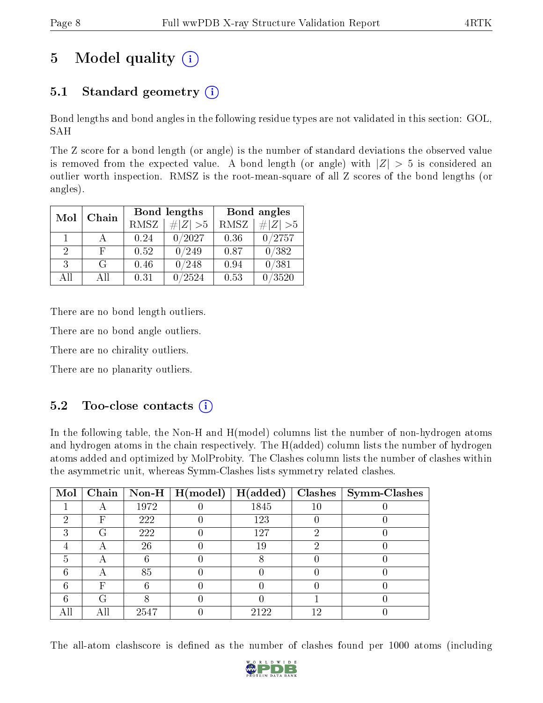# 5 Model quality  $(i)$

## 5.1 Standard geometry  $(i)$

Bond lengths and bond angles in the following residue types are not validated in this section: GOL, SAH

The Z score for a bond length (or angle) is the number of standard deviations the observed value is removed from the expected value. A bond length (or angle) with  $|Z| > 5$  is considered an outlier worth inspection. RMSZ is the root-mean-square of all Z scores of the bond lengths (or angles).

| Mol                         | Chain |      | Bond lengths |             | Bond angles         |
|-----------------------------|-------|------|--------------|-------------|---------------------|
|                             |       | RMSZ | $\# Z  > 5$  | <b>RMSZ</b> | $\Vert Z \Vert > 5$ |
| 1                           |       | 0.24 | 0/2027       | 0.36        | 0/2757              |
| $\mathcal{D}_{\mathcal{L}}$ | F     | 0.52 | 0/249        | 0.87        | 0/382               |
| 3                           | G     | 0.46 | 0/248        | 0.94        | 0/381               |
| All                         | A II  | 0.31 | 2524         | 0.53        | /3520               |

There are no bond length outliers.

There are no bond angle outliers.

There are no chirality outliers.

There are no planarity outliers.

### $5.2$  Too-close contacts  $(i)$

In the following table, the Non-H and H(model) columns list the number of non-hydrogen atoms and hydrogen atoms in the chain respectively. The H(added) column lists the number of hydrogen atoms added and optimized by MolProbity. The Clashes column lists the number of clashes within the asymmetric unit, whereas Symm-Clashes lists symmetry related clashes.

| Mol |                           |      | Chain   Non-H   $H (model)$ | H(added) |    | $Clashes$   Symm-Clashes |
|-----|---------------------------|------|-----------------------------|----------|----|--------------------------|
|     |                           | 1972 |                             | 1845     |    |                          |
| 2   | F                         | 222  |                             | 123      |    |                          |
| ച   | G                         | 222  |                             | 127      |    |                          |
|     | $\boldsymbol{\mathsf{A}}$ | 26   |                             | 19       |    |                          |
| 5   | −                         |      |                             |          |    |                          |
| 6   |                           | 85   |                             |          |    |                          |
| հ   | F                         |      |                             |          |    |                          |
|     | G                         |      |                             |          |    |                          |
|     |                           | 2547 |                             | 2122     | 19 |                          |

The all-atom clashscore is defined as the number of clashes found per 1000 atoms (including

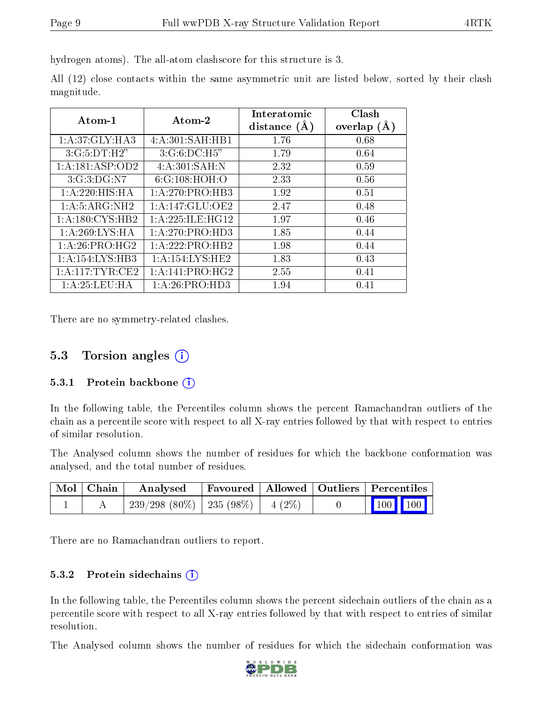hydrogen atoms). The all-atom clashscore for this structure is 3.

|            |  |  | All (12) close contacts within the same asymmetric unit are listed below, sorted by their clash |  |  |  |  |
|------------|--|--|-------------------------------------------------------------------------------------------------|--|--|--|--|
| magnitude. |  |  |                                                                                                 |  |  |  |  |

| Atom-1              | Atom-2                     | Interatomic<br>distance $(A)$ | Clash<br>overlap $(A)$ |
|---------------------|----------------------------|-------------------------------|------------------------|
| 1: A:37: GLY: HA3   | 4: A:301:SAH:HB1           | 1.76                          | 0.68                   |
| 3:G:5:DT:H2"        | $3:G:6:D\\C:H5"$           | 1.79                          | 0.64                   |
| 1:A:181:ASP:OD2     | 4:A:301:SAH:N              | 2.32                          | 0.59                   |
| 3:G:3:DG:N7         | 6:G:108:HOH:O              | 2.33                          | 0.56                   |
| 1:A:220:HIS:HA      | 1:A:270:PRO:HB3            | 1.92                          | 0.51                   |
| 1: A: 5: ARG: NH2   | 1:A:147:GLU:OE2            | 2.47                          | 0.48                   |
| 1: A: 180: CYS: HB2 | 1: A:225: ILE: HG12        | 1.97                          | 0.46                   |
| 1: A:269: LYS: HA   | 1:A:270:PRO:HD3            | 1.85                          | 0.44                   |
| 1:A:26:PRO:HG2      | 1:A:222:PRO:HB2            | 1.98                          | 0.44                   |
| 1: A:154:LYS:HB3    | 1: A:154:LYS:HE2           | 1.83                          | 0.43                   |
| 1: A:117: TYR: CE2  | 1: A:141: PRO:HG2          | 2.55                          | 0.41                   |
| 1: A:25:LEU:HA      | 1:A:26:PRO:H <sub>D3</sub> | 1.94                          | 0.41                   |

There are no symmetry-related clashes.

### 5.3 Torsion angles  $(i)$

#### 5.3.1 Protein backbone (i)

In the following table, the Percentiles column shows the percent Ramachandran outliers of the chain as a percentile score with respect to all X-ray entries followed by that with respect to entries of similar resolution.

The Analysed column shows the number of residues for which the backbone conformation was analysed, and the total number of residues.

| Mol   Chain | Analysed                               | Favoured   Allowed   Outliers   Percentiles |  |                                                              |  |
|-------------|----------------------------------------|---------------------------------------------|--|--------------------------------------------------------------|--|
|             | $239/298(80\%)$   235 (98\%)   4 (2\%) |                                             |  | $\begin{array}{ c c c c c }\n\hline\n100 & 100\n\end{array}$ |  |

There are no Ramachandran outliers to report.

#### 5.3.2 Protein sidechains (i)

In the following table, the Percentiles column shows the percent sidechain outliers of the chain as a percentile score with respect to all X-ray entries followed by that with respect to entries of similar resolution.

The Analysed column shows the number of residues for which the sidechain conformation was

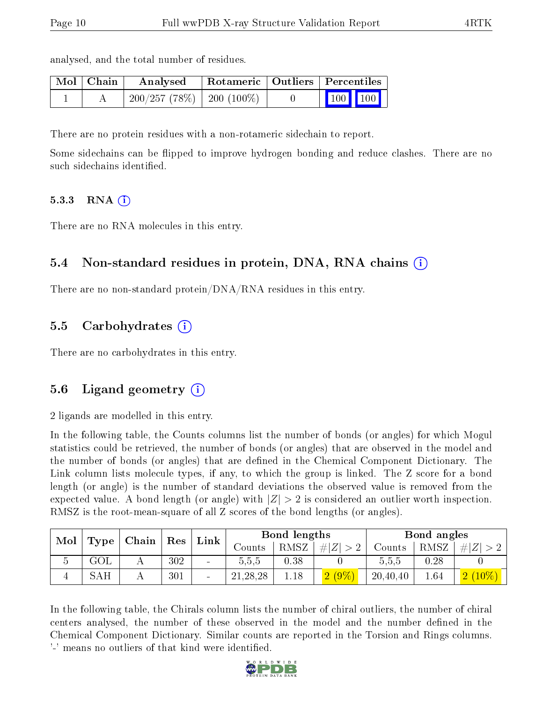| $\blacksquare$ Mol $\blacksquare$ Chain | Analysed                    | Rotameric   Outliers   Percentiles |                                                              |  |
|-----------------------------------------|-----------------------------|------------------------------------|--------------------------------------------------------------|--|
|                                         | $200/257(78%)$   200 (100%) |                                    | $\begin{array}{ c c c c c }\n\hline\n100 & 100\n\end{array}$ |  |

There are no protein residues with a non-rotameric sidechain to report.

Some sidechains can be flipped to improve hydrogen bonding and reduce clashes. There are no such sidechains identified.

#### 5.3.3 RNA  $(i)$

There are no RNA molecules in this entry.

analysed, and the total number of residues.

#### 5.4 Non-standard residues in protein, DNA, RNA chains (i)

There are no non-standard protein/DNA/RNA residues in this entry.

#### 5.5 Carbohydrates (i)

There are no carbohydrates in this entry.

#### 5.6 Ligand geometry (i)

2 ligands are modelled in this entry.

In the following table, the Counts columns list the number of bonds (or angles) for which Mogul statistics could be retrieved, the number of bonds (or angles) that are observed in the model and the number of bonds (or angles) that are dened in the Chemical Component Dictionary. The Link column lists molecule types, if any, to which the group is linked. The Z score for a bond length (or angle) is the number of standard deviations the observed value is removed from the expected value. A bond length (or angle) with  $|Z| > 2$  is considered an outlier worth inspection. RMSZ is the root-mean-square of all Z scores of the bond lengths (or angles).

| Mol | <b>Type</b> | ⊢Chain∣ | $\operatorname{Res}$ | Link |            | Bond lengths |          |          | Bond angles |                |
|-----|-------------|---------|----------------------|------|------------|--------------|----------|----------|-------------|----------------|
|     |             |         |                      |      | Jounts-    | RMSZ         | # Z      | Counts   | RMSZ        | Z <br>#        |
|     | $\rm GOL$   |         | 302                  |      | 5,5,5      | 0.38         |          | 5.5,5    | 0.28        |                |
|     | SAH         |         | 301                  |      | 21, 28, 28 | 1.18         | $2(9\%)$ | 20,40,40 | 1.64        | 2(<br>$(10\%)$ |

In the following table, the Chirals column lists the number of chiral outliers, the number of chiral centers analysed, the number of these observed in the model and the number defined in the Chemical Component Dictionary. Similar counts are reported in the Torsion and Rings columns. '-' means no outliers of that kind were identified.

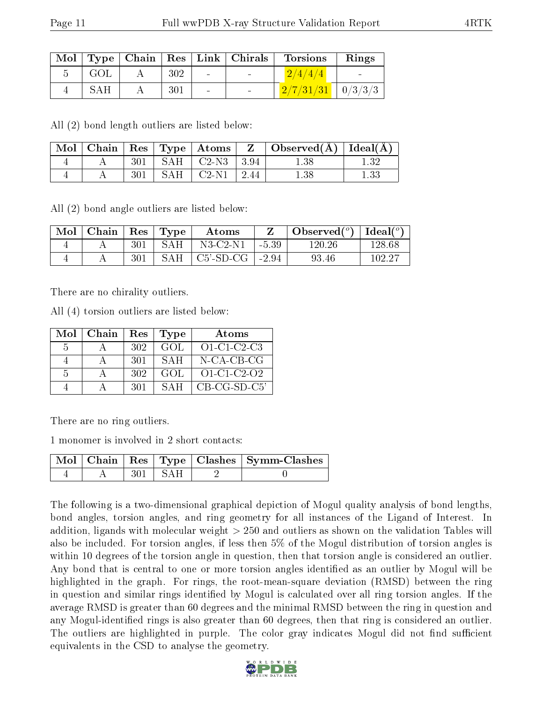|     |     |                          | $\text{Mol}$   Type   Chain   Res   Link   Chirals | <b>Torsions</b>               | Rings |
|-----|-----|--------------------------|----------------------------------------------------|-------------------------------|-------|
| GOL | 302 | <b>Contract Contract</b> | <b>Contract Contract</b>                           | 2/4/4/4                       |       |
| SAH | 301 | $\sim$                   |                                                    | $\frac{2}{7/31/31}$   0/3/3/3 |       |

All (2) bond length outliers are listed below:

|  |     |           |                                        | $\mid$ Mol $\mid$ Chain $\mid$ Res $\mid$ Type $\mid$ Atoms $\mid$ $\mid$ Z $\mid$ Observed(Å) $\mid$ Ideal(Å) $\mid$ |  |
|--|-----|-----------|----------------------------------------|-----------------------------------------------------------------------------------------------------------------------|--|
|  | 301 |           | $\perp$ SAH $\perp$ C2-N3 $\perp$ 3.94 | $1.38\,$                                                                                                              |  |
|  | 301 | - SAH - ' | $\mid$ C2-N1 $\mid$ 2.44               | $1.38\,$                                                                                                              |  |

All (2) bond angle outliers are listed below:

| Mol | $\top$ Chain   Res   Type |     |            | Atoms                   |                  | Observed $(°)$ | Ideal $({}^o)$ |
|-----|---------------------------|-----|------------|-------------------------|------------------|----------------|----------------|
|     |                           | 301 | <b>SAH</b> | $N3-C2-N1$              | $-5.39$          | 120.26         | 128.68         |
|     |                           | 301 | SAH.       | $\mid$ C5'-SD-CG $\mid$ | $^{\circ}$ -2.94 | 93.46          | $102.27\,$     |

There are no chirality outliers.

All (4) torsion outliers are listed below:

| Mol           | Chain | Res | <b>Type</b>  | Atoms         |
|---------------|-------|-----|--------------|---------------|
| -5            |       | 302 | GOL.         | $O1-C1-C2-C3$ |
|               |       | 301 | <b>SAH</b>   | N-CA-CB-CG    |
| $\frac{5}{2}$ |       | 302 | GOL.         | $O1-C1-C2-O2$ |
|               |       | 301 | $S \Delta H$ | CB-CG-SD-C5'  |

There are no ring outliers.

1 monomer is involved in 2 short contacts:

|  |                      | Mol   Chain   Res   Type   Clashes   Symm-Clashes |
|--|----------------------|---------------------------------------------------|
|  | $-301$ SAH $\degree$ |                                                   |

The following is a two-dimensional graphical depiction of Mogul quality analysis of bond lengths, bond angles, torsion angles, and ring geometry for all instances of the Ligand of Interest. In addition, ligands with molecular weight > 250 and outliers as shown on the validation Tables will also be included. For torsion angles, if less then 5% of the Mogul distribution of torsion angles is within 10 degrees of the torsion angle in question, then that torsion angle is considered an outlier. Any bond that is central to one or more torsion angles identified as an outlier by Mogul will be highlighted in the graph. For rings, the root-mean-square deviation (RMSD) between the ring in question and similar rings identified by Mogul is calculated over all ring torsion angles. If the average RMSD is greater than 60 degrees and the minimal RMSD between the ring in question and any Mogul-identified rings is also greater than 60 degrees, then that ring is considered an outlier. The outliers are highlighted in purple. The color gray indicates Mogul did not find sufficient equivalents in the CSD to analyse the geometry.

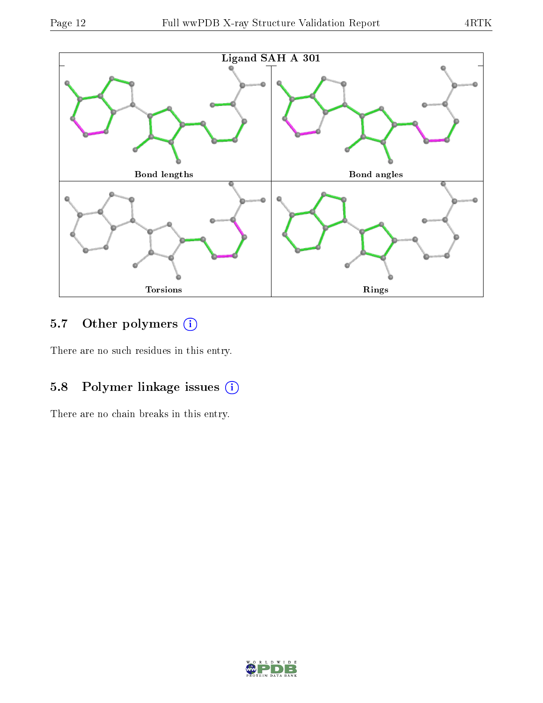

## 5.7 [O](https://www.wwpdb.org/validation/2017/XrayValidationReportHelp#nonstandard_residues_and_ligands)ther polymers (i)

There are no such residues in this entry.

## 5.8 Polymer linkage issues (i)

There are no chain breaks in this entry.

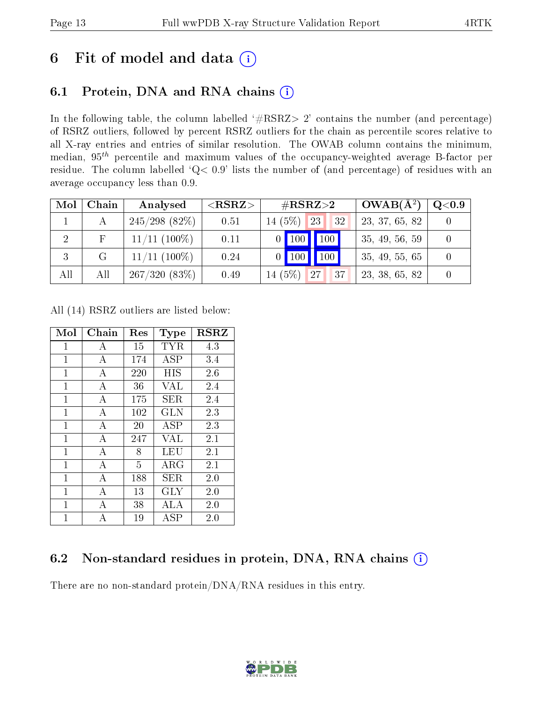## 6 Fit of model and data  $(i)$

### 6.1 Protein, DNA and RNA chains  $(i)$

In the following table, the column labelled  $#RSRZ> 2'$  contains the number (and percentage) of RSRZ outliers, followed by percent RSRZ outliers for the chain as percentile scores relative to all X-ray entries and entries of similar resolution. The OWAB column contains the minimum, median,  $95<sup>th</sup>$  percentile and maximum values of the occupancy-weighted average B-factor per residue. The column labelled ' $Q< 0.9$ ' lists the number of (and percentage) of residues with an average occupancy less than 0.9.

| Mol            | Chain | Analysed         | ${ <\hspace{-1.5pt}{\mathrm{RSRZ}}\hspace{-1.5pt}>}$ | $\rm \#RSRZ{>}2$    | $OWAB(A^2)$    | $\rm Q\textcolor{black}{<}0.9$ $\mid$ |
|----------------|-------|------------------|------------------------------------------------------|---------------------|----------------|---------------------------------------|
|                |       | $245/298$ (82\%) | 0.51                                                 | $14(5\%)$ 23<br>32  | 23, 37, 65, 82 |                                       |
| $\overline{2}$ |       | $11/11$ (100%)   | 0.11                                                 | $0$   100   100     | 35, 49, 56, 59 |                                       |
| 3              | G     | $11/11$ (100\%)  | 0.24                                                 | $0$ 100 100         | 35, 49, 55, 65 |                                       |
| All            | All   | 267/320(83%)     | 0.49                                                 | $14(5\%)$ 27<br> 37 | 23, 38, 65, 82 |                                       |

All (14) RSRZ outliers are listed below:

| Mol            | Chain          | Res | Type                     | <b>RSRZ</b> |
|----------------|----------------|-----|--------------------------|-------------|
| $\mathbf{1}$   | А              | 15  | TYR                      | 4.3         |
| $\mathbf{1}$   | А              | 174 | <b>ASP</b>               | 3.4         |
| $\mathbf{1}$   | A              | 220 | HIS                      | 2.6         |
| $\mathbf{1}$   | $\overline{A}$ | 36  | VAL                      | 2.4         |
| $\mathbf{1}$   | $\bf{A}$       | 175 | SER.                     | 2.4         |
| $\overline{1}$ | $\overline{A}$ | 102 | <b>GLN</b>               | 2.3         |
| $\mathbf{1}$   | А              | 20  | ASP                      | 2.3         |
| $\mathbf{1}$   | $\overline{A}$ | 247 | <b>VAL</b>               | 2.1         |
| $\mathbf{1}$   | А              | 8   | LEU                      | 2.1         |
| $\mathbf{1}$   | $\overline{A}$ | 5   | ARG                      | 2.1         |
| $\mathbf{1}$   | А              | 188 | SER                      | 2.0         |
| $\mathbf{1}$   | $\overline{A}$ | 13  | <b>GLY</b>               | 2.0         |
| 1              | А              | 38  | ALA                      | 2.0         |
| $\mathbf 1$    | A              | 19  | $\overline{\rm A}\rm SP$ | 2.0         |

### 6.2 Non-standard residues in protein, DNA, RNA chains (i)

There are no non-standard protein/DNA/RNA residues in this entry.

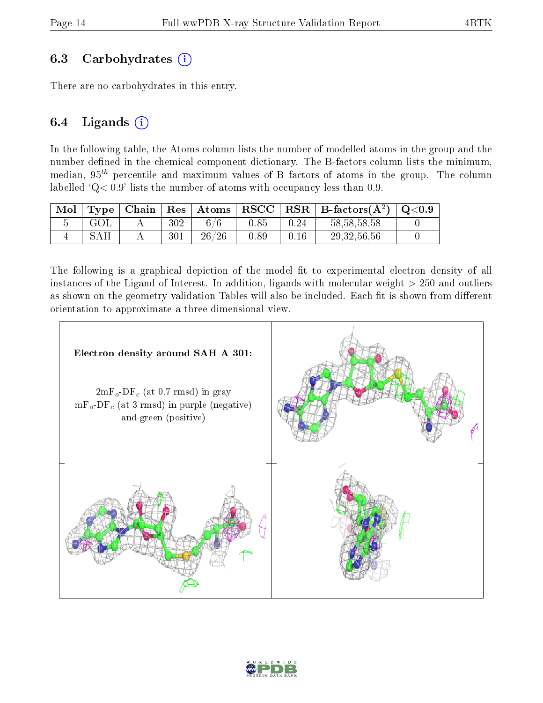### 6.3 Carbohydrates  $(i)$

There are no carbohydrates in this entry.

### 6.4 Ligands  $(i)$

In the following table, the Atoms column lists the number of modelled atoms in the group and the number defined in the chemical component dictionary. The B-factors column lists the minimum, median,  $95<sup>th</sup>$  percentile and maximum values of B factors of atoms in the group. The column labelled  $Q < 0.9$ ' lists the number of atoms with occupancy less than 0.9.

| Mol                   | Type <sub>1</sub> | Chain | $\mid$ Res $\mid$ | Atoms | RSCC |          | $RSR   B-factors(A2)$ | $\mathrm{Q}{<}0.9$ |
|-----------------------|-------------------|-------|-------------------|-------|------|----------|-----------------------|--------------------|
| $\tilde{\phantom{a}}$ | GOL               |       | 302               |       | 0.85 | $0.24\,$ | 58, 58, 58, 58        |                    |
|                       |                   |       | 301               | 26/26 | 0.89 |          | 29, 32, 56, 56        |                    |

The following is a graphical depiction of the model fit to experimental electron density of all instances of the Ligand of Interest. In addition, ligands with molecular weight  $> 250$  and outliers as shown on the geometry validation Tables will also be included. Each fit is shown from different orientation to approximate a three-dimensional view.